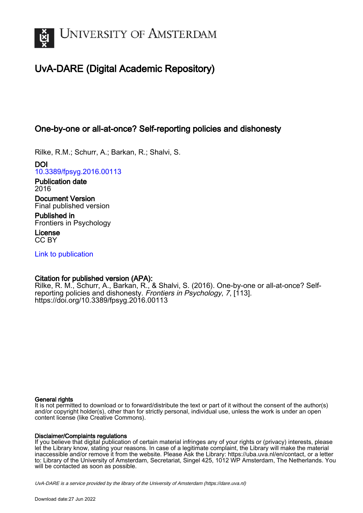

# UvA-DARE (Digital Academic Repository)

# One-by-one or all-at-once? Self-reporting policies and dishonesty

Rilke, R.M.; Schurr, A.; Barkan, R.; Shalvi, S.

DOI [10.3389/fpsyg.2016.00113](https://doi.org/10.3389/fpsyg.2016.00113)

Publication date 2016

Document Version Final published version

Published in Frontiers in Psychology

License CC BY

[Link to publication](https://dare.uva.nl/personal/pure/en/publications/onebyone-or-allatonce-selfreporting-policies-and-dishonesty(21031dfa-34f3-46bc-b360-23a12cbfb203).html)

## Citation for published version (APA):

Rilke, R. M., Schurr, A., Barkan, R., & Shalvi, S. (2016). One-by-one or all-at-once? Selfreporting policies and dishonesty. Frontiers in Psychology, 7, [113]. <https://doi.org/10.3389/fpsyg.2016.00113>

#### General rights

It is not permitted to download or to forward/distribute the text or part of it without the consent of the author(s) and/or copyright holder(s), other than for strictly personal, individual use, unless the work is under an open content license (like Creative Commons).

#### Disclaimer/Complaints regulations

If you believe that digital publication of certain material infringes any of your rights or (privacy) interests, please let the Library know, stating your reasons. In case of a legitimate complaint, the Library will make the material inaccessible and/or remove it from the website. Please Ask the Library: https://uba.uva.nl/en/contact, or a letter to: Library of the University of Amsterdam, Secretariat, Singel 425, 1012 WP Amsterdam, The Netherlands. You will be contacted as soon as possible.

UvA-DARE is a service provided by the library of the University of Amsterdam (http*s*://dare.uva.nl)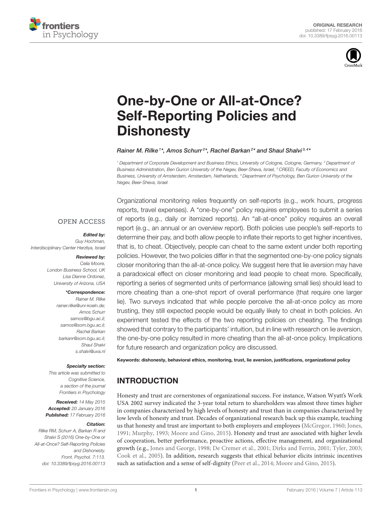



# [One-by-One or All-at-Once?](http://journal.frontiersin.org/article/10.3389/fpsyg.2016.00113/abstract) Self-Reporting Policies and **Dishonesty**

#### [Rainer M. Rilke](http://loop.frontiersin.org/people/203140/overview)<sup>1\*</sup>, [Amos Schurr](http://loop.frontiersin.org/people/201911/overview)<sup>2\*</sup>, [Rachel Barkan](http://loop.frontiersin.org/people/252163/overview)<sup>2\*</sup> and [Shaul Shalvi](http://loop.frontiersin.org/people/61600/overview)<sup>3,4\*</sup>

*<sup>1</sup> Department of Corporate Development and Business Ethics, University of Cologne, Cologne, Germany, <sup>2</sup> Department of Business Administration, Ben Gurion University of the Negev, Beer-Sheva, Israel, <sup>3</sup> CREED, Faculty of Economics and Business, University of Amsterdam, Amsterdam, Netherlands, <sup>4</sup> Department of Psychology, Ben Gurion University of the Negev, Beer-Sheva, Israel*

#### **OPEN ACCESS**

#### Edited by:

*Guy Hochman, Interdisciplinary Center Herzliya, Israel*

#### Reviewed by:

*Celia Moore, London Business School, UK Lisa Dianne Ordonez, University of Arizona, USA*

#### \*Correspondence:

*Rainer M. Rilke [rainer.rilke@uni-koeln.de;](mailto:rainer.rilke@uni-koeln.de) Amos Schurr [samos@bgu.ac.il;](mailto:samos@bgu.ac.il) [samos@som.bgu.ac.il;](mailto:samos@som.bgu.ac.il) Rachel Barkan [barkanr@som.bgu.ac.il;](mailto:barkanr@som.bgu.ac.il) Shaul Shalvi [s.shalvi@uva.nl](mailto:s.shalvi@uva.nl)*

#### Specialty section:

*This article was submitted to Cognitive Science, a section of the journal Frontiers in Psychology*

Received: *14 May 2015* Accepted: *20 January 2016* Published: *17 February 2016*

#### Citation:

*Rilke RM, Schurr A, Barkan R and Shalvi S (2016) One-by-One or All-at-Once? Self-Reporting Policies and Dishonesty. Front. Psychol. 7:113. doi: [10.3389/fpsyg.2016.00113](http://dx.doi.org/10.3389/fpsyg.2016.00113)*

Organizational monitoring relies frequently on self-reports (e.g., work hours, progress reports, travel expenses). A "one-by-one" policy requires employees to submit a series of reports (e.g., daily or itemized reports). An "all-at-once" policy requires an overall report (e.g., an annual or an overview report). Both policies use people's self-reports to determine their pay, and both allow people to inflate their reports to get higher incentives, that is, to cheat. Objectively, people can cheat to the same extent under both reporting policies. However, the two policies differ in that the segmented one-by-one policy signals closer monitoring than the all-at-once policy. We suggest here that lie aversion may have a paradoxical effect on closer monitoring and lead people to cheat more. Specifically, reporting a series of segmented units of performance (allowing small lies) should lead to more cheating than a one-shot report of overall performance (that require one larger lie). Two surveys indicated that while people perceive the all-at-once policy as more trusting, they still expected people would be equally likely to cheat in both policies. An experiment tested the effects of the two reporting policies on cheating. The findings showed that contrary to the participants' intuition, but in line with research on lie aversion, the one-by-one policy resulted in more cheating than the all-at-once policy. Implications for future research and organization policy are discussed.

Keywords: dishonesty, behavioral ethics, monitoring, trust, lie aversion, justifications, organizational policy

## INTRODUCTION

Honesty and trust are cornerstones of organizational success. For instance, Watson Wyatt's Work USA 2002 survey indicated the 3-year total return to shareholders was almost three times higher in companies characterized by high levels of honesty and trust than in companies characterized by low levels of honesty and trust. Decades of organizational research back up this example, teaching us that honesty and trust are important to both employers and employees [\(McGregor, 1960;](#page-7-0) [Jones,](#page-7-1) [1991;](#page-7-1) [Murphy, 1993;](#page-7-2) [Moore and Gino, 2015\)](#page-7-3). Honesty and trust are associated with higher levels of cooperation, better performance, proactive actions, effective management, and organizational growth (e.g., [Jones and George, 1998;](#page-7-4) [De Cremer et al., 2001;](#page-7-5) [Dirks and Ferrin, 2001;](#page-7-6) [Tyler, 2003;](#page-7-7) [Cook et al., 2005\)](#page-7-8). In addition, research suggests that ethical behavior elicits intrinsic incentives such as satisfaction and a sense of self-dignity [\(Peer et al., 2014;](#page-7-9) [Moore and Gino, 2015\)](#page-7-3).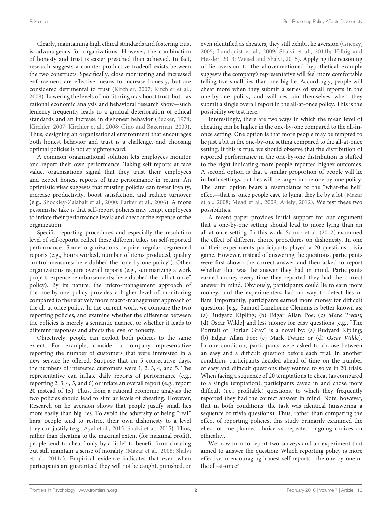Clearly, maintaining high ethical standards and fostering trust is advantageous for organizations. However, the combination of honesty and trust is easier preached than achieved. In fact, research suggests a counter-productive tradeoff exists between the two constructs. Specifically, close monitoring and increased enforcement are effective means to increase honesty, but are considered detrimental to trust [\(Kirchler, 2007;](#page-7-10) [Kirchler et al.,](#page-7-11) [2008\)](#page-7-11). Lowering the levels of monitoring may boost trust, but—as rational economic analysis and behavioral research show—such leniency frequently leads to a gradual deterioration of ethical standards and an increase in dishonest behavior [\(Becker, 1974;](#page-7-12) [Kirchler, 2007;](#page-7-10) [Kirchler et al., 2008;](#page-7-11) [Gino and Bazerman, 2009\)](#page-7-13). Thus, designing an organizational environment that encourages both honest behavior and trust is a challenge, and choosing optimal policies is not straightforward.

A common organizational solution lets employees monitor and report their own performance. Taking self-reports at face value, organizations signal that they trust their employees and expect honest reports of true performance in return. An optimistic view suggests that trusting policies can foster loyalty, increase productivity, boost satisfaction, and reduce turnover (e.g., [Shockley-Zalabak et al., 2000;](#page-7-14) [Parker et al., 2006\)](#page-7-15). A more pessimistic take is that self-report policies may tempt employees to inflate their performance levels and cheat at the expense of the organization.

Specific reporting procedures and especially the resolution level of self-reports, reflect these different takes on self-reported performance. Some organizations require regular segmented reports (e.g., hours worked, number of items produced, quality control measures; here dubbed the "one-by-one policy"). Other organizations require overall reports (e.g., summarizing a work project, expense reimbursements; here dubbed the "all-at-once" policy). By its nature, the micro-management approach of the one-by-one policy provides a higher level of monitoring compared to the relatively more macro-management approach of the all-at-once policy. In the current work, we compare the two reporting policies, and examine whether the difference between the policies is merely a semantic nuance, or whether it leads to different responses and affects the level of honesty.

Objectively, people can exploit both policies to the same extent. For example, consider a company representative reporting the number of customers that were interested in a new service he offered. Suppose that on 5 consecutive days, the numbers of interested customers were 1, 2, 3, 4, and 5. The representative can inflate daily reports of performance (e.g., reporting 2, 3, 4, 5, and 6) or inflate an overall report (e.g., report 20 instead of 15). Thus, from a rational economic analysis the two policies should lead to similar levels of cheating. However, Research on lie aversion shows that people justify small lies more easily than big lies. To avoid the adversity of being "real" liars, people tend to restrict their own dishonesty to a level they can justify (e.g., [Ayal et al., 2015;](#page-7-16) [Shalvi et al., 2015\)](#page-7-17). Thus, rather than cheating to the maximal extent (for maximal profit), people tend to cheat "only by a little" to benefit from cheating but still maintain a sense of morality [\(Mazar et al., 2008;](#page-7-18) Shalvi et al., [2011a\)](#page-7-19). Empirical evidence indicates that even when participants are guaranteed they will not be caught, punished, or even identified as cheaters, they still exhibit lie aversion [\(Gneezy,](#page-7-20) [2005;](#page-7-20) [Lundquist et al., 2009;](#page-7-21) [Shalvi et al., 2011b;](#page-7-22) Hilbig and Hessler, [2013;](#page-7-23) [Weisel and Shalvi, 2015\)](#page-7-24). Applying the reasoning of lie aversion to the abovementioned hypothetical example suggests the company's representative will feel more comfortable telling five small lies than one big lie. Accordingly, people will cheat more when they submit a series of small reports in the one-by-one policy, and will restrain themselves when they submit a single overall report in the all-at-once policy. This is the possibility we test here.

Interestingly, there are two ways in which the mean level of cheating can be higher in the one-by-one compared to the all-inonce setting. One option is that more people may be tempted to lie just a bit in the one-by-one setting compared to the all-at-once setting. If this is true, we should observe that the distribution of reported performance in the one-by-one distribution is shifted to the right indicating more people reported higher outcomes. A second option is that a similar proportion of people will lie in both settings, but lies will be larger in the one-by-one policy. The latter option bears a resemblance to the "what-the hell" effect—that is, once people cave to lying, they lie by a lot (Mazar et al., [2008;](#page-7-18) [Mead et al., 2009;](#page-7-25) [Ariely, 2012\)](#page-7-26). We test these two possibilities.

A recent paper provides initial support for our argument that a one-by-one setting should lead to more lying than an all-at-once setting. In this work, [Schurr et al. \(2012\)](#page-7-27) examined the effect of different choice procedures on dishonesty. In one of their experiments participants played a 20-questions trivia game. However, instead of answering the questions, participants were first shown the correct answer and then asked to report whether that was the answer they had in mind. Participants earned money every time they reported they had the correct answer in mind. Obviously, participants could lie to earn more money, and the experimenters had no way to detect lies or liars. Importantly, participants earned more money for difficult questions [e.g., Samuel Langhorne Clemens is better known as: (a) Rudyard Kipling; (b) Edgar Allan Poe; (c) Mark Twain; (d) Oscar Wilde] and less money for easy questions [e.g., "The Portrait of Dorian Gray" is a novel by: (a) Rudyard Kipling; (b) Edgar Allan Poe; (c) Mark Twain; or (d) Oscar Wilde]. In one condition, participants were asked to choose between an easy and a difficult question before each trial. In another condition, participants decided ahead of time on the number of easy and difficult questions they wanted to solve in 20 trials. When facing a sequence of 20 temptations to cheat (as compared to a single temptation), participants caved in and chose more difficult (i.e., profitable) questions, to which they frequently reported they had the correct answer in mind. Note, however, that in both conditions, the task was identical (answering a sequence of trivia questions). Thus, rather than comparing the effect of reporting policies, this study primarily examined the effect of one planned choice vs. repeated ongoing choices on ethicality.

We now turn to report two surveys and an experiment that aimed to answer the question: Which reporting policy is more effective in encouraging honest self-reports—the one-by-one or the all-at-once?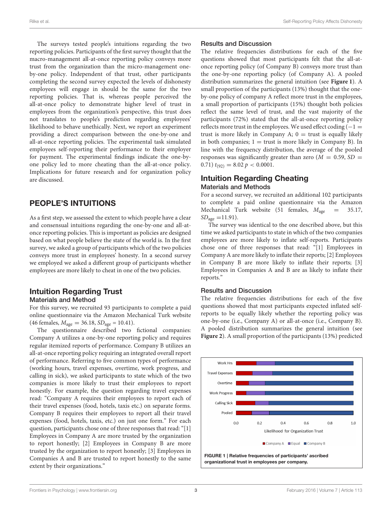The surveys tested people's intuitions regarding the two reporting policies. Participants of the first survey thought that the macro-management all-at-once reporting policy conveys more trust from the organization than the micro-management oneby-one policy. Independent of that trust, other participants completing the second survey expected the levels of dishonesty employees will engage in should be the same for the two reporting policies. That is, whereas people perceived the all-at-once policy to demonstrate higher level of trust in employees from the organization's perspective, this trust does not translates to people's prediction regarding employees' likelihood to behave unethically. Next, we report an experiment providing a direct comparison between the one-by-one and all-at-once reporting policies. The experimental task simulated employees self-reporting their performance to their employer for payment. The experimental findings indicate the one-byone policy led to more cheating than the all-at-once policy. Implications for future research and for organization policy are discussed.

## PEOPLE'S INTUITIONS

As a first step, we assessed the extent to which people have a clear and consensual intuitions regarding the one-by-one and all-atonce reporting policies. This is important as policies are designed based on what people believe the state of the world is. In the first survey, we asked a group of participants which of the two policies conveys more trust in employees' honesty. In a second survey we employed we asked a different group of participants whether employees are more likely to cheat in one of the two policies.

## Intuition Regarding Trust Materials and Method

For this survey, we recruited 93 participants to complete a paid online questionnaire via the Amazon Mechanical Turk website (46 females,  $M_{\text{age}} = 36.18$ ,  $SD_{\text{age}} = 10.41$ ).

The questionnaire described two fictional companies: Company A utilizes a one-by-one reporting policy and requires regular itemized reports of performance. Company B utilizes an all-at-once reporting policy requiring an integrated overall report of performance. Referring to five common types of performance (working hours, travel expenses, overtime, work progress, and calling in sick), we asked participants to state which of the two companies is more likely to trust their employees to report honestly. For example, the question regarding travel expenses read: "Company A requires their employees to report each of their travel expenses (food, hotels, taxis etc.) on separate forms. Company B requires their employees to report all their travel expenses (food, hotels, taxis, etc.) on just one form." For each question, participants chose one of three responses that read: "[1] Employees in Company A are more trusted by the organization to report honestly; [2] Employees in Company B are more trusted by the organization to report honestly; [3] Employees in Companies A and B are trusted to report honestly to the same extent by their organizations."

## Results and Discussion

The relative frequencies distributions for each of the five questions showed that most participants felt that the all-atonce reporting policy (of Company B) conveys more trust than the one-by-one reporting policy (of Company A). A pooled distribution summarizes the general intuition (see **[Figure 1](#page-3-0)**). A small proportion of the participants (13%) thought that the oneby-one policy of company A reflect more trust in the employees, a small proportion of participants (15%) thought both policies reflect the same level of trust, and the vast majority of the participants (72%) stated that the all-at-once reporting policy reflects more trust in the employees. We used effect coding  $(-1)$ trust is more likely in Company A;  $0 =$  trust is equally likely in both companies;  $1 =$  trust is more likely in Company B). In line with the frequency distribution, the average of the pooled responses was significantly greater than zero  $(M = 0.59, SD =$ 0.71)  $t_{(92)} = 8.02 p < 0.0001$ .

## Intuition Regarding Cheating Materials and Methods

For a second survey, we recruited an additional 102 participants to complete a paid online questionnaire via the Amazon Mechanical Turk website (51 females,  $M_{\text{age}} = 35.17$ ,  $SD_{age} = 11.91$ .

The survey was identical to the one described above, but this time we asked participants to state in which of the two companies employees are more likely to inflate self-reports. Participants chose one of three responses that read: "[1] Employees in Company A are more likely to inflate their reports; [2] Employees in Company B are more likely to inflate their reports; [3] Employees in Companies A and B are as likely to inflate their reports."

## Results and Discussion

The relative frequencies distributions for each of the five questions showed that most participants expected inflated selfreports to be equally likely whether the reporting policy was one-by-one (i.e., Company A) or all-at-once (i.e., Company B). A pooled distribution summarizes the general intuition (see **[Figure 2](#page-4-0)**). A small proportion of the participants (13%) predicted

<span id="page-3-0"></span>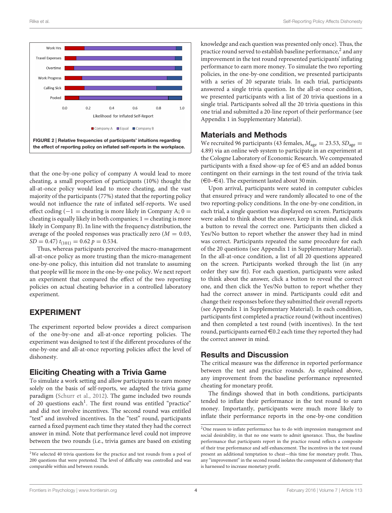

<span id="page-4-0"></span>that the one-by-one policy of company A would lead to more cheating, a small proportion of participants (10%) thought the all-at-once policy would lead to more cheating, and the vast majority of the participants (77%) stated that the reporting policy would not influence the rate of inflated self-reports. We used effect coding  $(-1)$  = cheating is more likely in Company A; 0 = cheating is equally likely in both companies;  $1 =$  cheating is more likely in Company B). In line with the frequency distribution, the average of the pooled responses was practically zero  $(M = 0.03,$  $SD = 0.47$ )  $t_{(101)} = 0.62$   $p = 0.534$ .

Thus, whereas participants perceived the macro-management all-at-once policy as more trusting than the micro-management one-by-one policy, this intuition did not translate to assuming that people will lie more in the one-by-one policy. We next report an experiment that compared the effect of the two reporting policies on actual cheating behavior in a controlled laboratory experiment.

## EXPERIMENT

The experiment reported below provides a direct comparison of the one-by-one and all-at-once reporting policies. The experiment was designed to test if the different procedures of the one-by-one and all-at-once reporting policies affect the level of dishonesty.

## Eliciting Cheating with a Trivia Game

To simulate a work setting and allow participants to earn money solely on the basis of self-reports, we adapted the trivia game paradigm [\(Schurr et al., 2012\)](#page-7-27). The game included two rounds of 20 questions each<sup>[1](#page-4-1)</sup>. The first round was entitled "practice" and did not involve incentives. The second round was entitled "test" and involved incentives. In the "test" round, participants earned a fixed payment each time they stated they had the correct answer in mind. Note that performance level could not improve between the two rounds (i.e., trivia games are based on existing

knowledge and each question was presented only once). Thus, the practice round served to establish baseline performance,<sup>[2](#page-4-2)</sup> and any improvement in the test round represented participants' inflating performance to earn more money. To simulate the two reporting policies, in the one-by-one condition, we presented participants with a series of 20 separate trials. In each trial, participants answered a single trivia question. In the all-at-once condition, we presented participants with a list of 20 trivia questions in a single trial. Participants solved all the 20 trivia questions in this one trial and submitted a 20-line report of their performance (see Appendix 1 in Supplementary Material).

## Materials and Methods

We recruited 96 participants (43 females,  $M_{\text{age}} = 23.53$ ,  $SD_{\text{age}} =$ 4.89) via an online web system to participate in an experiment at the Cologne Laboratory of Economic Research. We compensated participants with a fixed show-up fee of  $\in$ 5 and an added bonus contingent on their earnings in the test round of the trivia task  $(\infty 0-\infty 4)$ . The experiment lasted about 30 min.

Upon arrival, participants were seated in computer cubicles that ensured privacy and were randomly allocated to one of the two reporting-policy conditions. In the one-by-one condition, in each trial, a single question was displayed on screen. Participants were asked to think about the answer, keep it in mind, and click a button to reveal the correct one. Participants then clicked a Yes/No button to report whether the answer they had in mind was correct. Participants repeated the same procedure for each of the 20 questions (see Appendix 1 in Supplementary Material). In the all-at-once condition, a list of all 20 questions appeared on the screen. Participants worked through the list (in any order they saw fit). For each question, participants were asked to think about the answer, click a button to reveal the correct one, and then click the Yes/No button to report whether they had the correct answer in mind. Participants could edit and change their responses before they submitted their overall reports (see Appendix 1 in Supplementary Material). In each condition, participants first completed a practice round (without incentives) and then completed a test round (with incentives). In the test round, participants earned  $\in 0.2$  each time they reported they had the correct answer in mind.

## Results and Discussion

The critical measure was the difference in reported performance between the test and practice rounds. As explained above, any improvement from the baseline performance represented cheating for monetary profit.

The findings showed that in both conditions, participants tended to inflate their performance in the test round to earn money. Importantly, participants were much more likely to inflate their performance reports in the one-by-one condition

<span id="page-4-1"></span><sup>&</sup>lt;sup>1</sup>We selected 40 trivia questions for the practice and test rounds from a pool of 200 questions that were pretested. The level of difficulty was controlled and was comparable within and between rounds.

<span id="page-4-2"></span><sup>&</sup>lt;sup>2</sup>One reason to inflate performance has to do with impression management and social desirability, in that no one wants to admit ignorance. Thus, the baseline performance that participants report in the practice round reflects a composite of their true performance and self-enhancement. The incentives in the test round present an additional temptation to cheat—this time for monetary profit. Thus, any "improvement" in the second round isolates the component of dishonesty that is harnessed to increase monetary profit.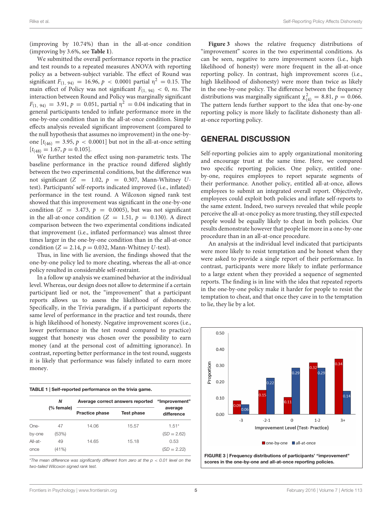(improving by 10.74%) than in the all-at-once condition (improving by 3.6%, see **[Table 1](#page-5-0)**).

We submitted the overall performance reports in the practice and test rounds to a repeated measures ANOVA with reporting policy as a between-subject variable. The effect of Round was significant  $F_{(1, 94)} = 16.96, p < 0.0001$  partial  $\eta^2 = 0.15$ . The main effect of Policy was not significant  $F_{(1, 94)} < 0$ , ns. The interaction between Round and Policy was marginally significant  $F_{(1, 94)} = 3.91, p = 0.051$ , partial  $\eta^2 = 0.04$  indicating that in general participants tended to inflate performance more in the one-by-one condition than in the all-at-once condition. Simple effects analysis revealed significant improvement (compared to the null hypothesis that assumes no improvement) in the one-byone  $[t_{(46)} = 3.95, p < 0.0001]$  but not in the all-at-once setting  $[t_{(48)} = 1.67, p = 0.105].$ 

We further tested the effect using non-parametric tests. The baseline performance in the practice round differed slightly between the two experimental conditions, but the difference was not significant ( $Z = 1.02$ ,  $p = 0.307$ , Mann-Whitney Utest). Participants' self-reports indicated improved (i.e., inflated) performance in the test round. A Wilcoxon signed rank test showed that this improvement was significant in the one-by-one condition ( $Z = 3.473$ ,  $p = 0.0005$ ), but was not significant in the all-at-once condition ( $Z = 1.51$ ,  $p = 0.130$ ). A direct comparison between the two experimental conditions indicated that improvement (i.e., inflated performance) was almost three times larger in the one-by-one condition than in the all-at-once condition ( $Z = 2.14$ ,  $p = 0.032$ , Mann-Whitney U-test).

Thus, in line with lie aversion, the findings showed that the one-by-one policy led to more cheating, whereas the all-at-once policy resulted in considerable self-restraint.

In a follow up analysis we examined behavior at the individual level. Whereas, our design does not allow to determine if a certain participant lied or not, the "improvement" that a participant reports allows us to assess the likelihood of dishonesty. Specifically, in the Trivia paradigm, if a participant reports the same level of performance in the practice and test rounds, there is high likelihood of honesty. Negative improvement scores (i.e., lower performance in the test round compared to practice) suggest that honesty was chosen over the possibility to earn money (and at the personal cost of admitting ignorance). In contrast, reporting better performance in the test round, suggests it is likely that performance was falsely inflated to earn more money.

<span id="page-5-0"></span>

| TABLE 1   Self-reported performance on the trivia game. |  |  |  |  |  |  |
|---------------------------------------------------------|--|--|--|--|--|--|
|---------------------------------------------------------|--|--|--|--|--|--|

|         | Ν<br>(% female) | Average correct answers reported |            | "Improvement"<br>average |  |
|---------|-----------------|----------------------------------|------------|--------------------------|--|
|         |                 | <b>Practice phase</b>            | Test phase | difference               |  |
| One-    | 47              | 14.06                            | 15.57      | $1.51*$                  |  |
| by-one  | (53%)           |                                  |            | $(SD = 2.62)$            |  |
| All-at- | 49              | 14.65                            | 15.18      | 0.53                     |  |
| once    | (41%)           |                                  |            | $(SD = 2.22)$            |  |

\**The mean difference was significantly different from zero at the p* < *0.01 level on the two-tailed Wilcoxon signed rank test.*

**[Figure 3](#page-5-1)** shows the relative frequency distributions of "improvement" scores in the two experimental conditions. As can be seen, negative to zero improvement scores (i.e., high likelihood of honesty) were more frequent in the all-at-once reporting policy. In contrast, high improvement scores (i.e., high likelihood of dishonesty) were more than twice as likely in the one-by-one policy. The difference between the frequency distributions was marginally significant  $\chi^2_{(4)} = 8.81, p = 0.066$ . The pattern lends further support to the idea that one-by-one reporting policy is more likely to facilitate dishonesty than allat-once reporting policy.

## GENERAL DISCUSSION

Self-reporting policies aim to apply organizational monitoring and encourage trust at the same time. Here, we compared two specific reporting policies. One policy, entitled oneby-one, requires employees to report separate segments of their performance. Another policy, entitled all-at-once, allows employees to submit an integrated overall report. Objectively, employees could exploit both policies and inflate self-reports to the same extent. Indeed, two surveys revealed that while people perceive the all-at-once policy as more trusting, they still expected people would be equally likely to cheat in both policies. Our results demonstrate however that people lie more in a one-by-one procedure than in an all-at-once procedure.

An analysis at the individual level indicated that participants were more likely to resist temptation and be honest when they were asked to provide a single report of their performance. In contrast, participants were more likely to inflate performance to a large extent when they provided a sequence of segmented reports. The finding is in line with the idea that repeated reports in the one-by-one policy make it harder for people to resist the temptation to cheat, and that once they cave in to the temptation to lie, they lie by a lot.

<span id="page-5-1"></span>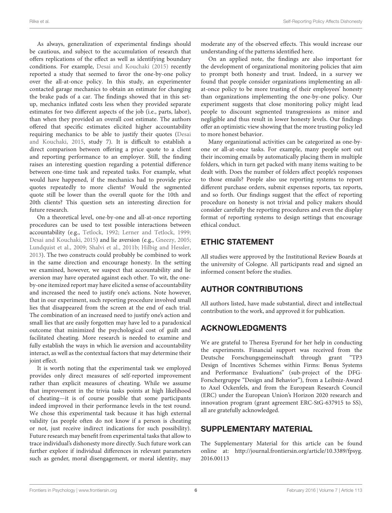As always, generalization of experimental findings should be cautious, and subject to the accumulation of research that offers replications of the effect as well as identifying boundary conditions. For example, [Desai and Kouchaki \(2015\)](#page-7-28) recently reported a study that seemed to favor the one-by-one policy over the all-at-once policy. In this study, an experimenter contacted garage mechanics to obtain an estimate for changing the brake pads of a car. The findings showed that in this setup, mechanics inflated costs less when they provided separate estimates for two different aspects of the job (i.e., parts, labor), than when they provided an overall cost estimate. The authors offered that specific estimates elicited higher accountability requiring mechanics to be able to justify their quotes (Desai and Kouchaki, [2015,](#page-7-28) study 7). It is difficult to establish a direct comparison between offering a price quote to a client and reporting performance to an employer. Still, the finding raises an interesting question regarding a potential difference between one-time task and repeated tasks. For example, what would have happened, if the mechanics had to provide price quotes repeatedly to more clients? Would the segmented quote still be lower than the overall quote for the 10th and 20th clients? This question sets an interesting direction for future research.

On a theoretical level, one-by-one and all-at-once reporting procedures can be used to test possible interactions between accountability (e.g., [Tetlock, 1992;](#page-7-29) [Lerner and Tetlock, 1999;](#page-7-30) [Desai and Kouchaki, 2015\)](#page-7-28) and lie aversion (e.g., [Gneezy, 2005;](#page-7-20) [Lundquist et al., 2009;](#page-7-21) [Shalvi et al., 2011b;](#page-7-22) [Hilbig and Hessler,](#page-7-23) [2013\)](#page-7-23). The two constructs could probably be combined to work in the same direction and encourage honesty. In the setting we examined, however, we suspect that accountability and lie aversion may have operated against each other. To wit, the oneby-one itemized report may have elicited a sense of accountability and increased the need to justify one's actions. Note however, that in our experiment, such reporting procedure involved small lies that disappeared from the screen at the end of each trial. The combination of an increased need to justify one's action and small lies that are easily forgotten may have led to a paradoxical outcome that minimized the psychological cost of guilt and facilitated cheating. More research is needed to examine and fully establish the ways in which lie aversion and accountability interact, as well as the contextual factors that may determine their joint effect.

It is worth noting that the experimental task we employed provides only direct measures of self-reported improvement rather than explicit measures of cheating. While we assume that improvement in the trivia tasks points at high likelihood of cheating—it is of course possible that some participants indeed improved in their performance levels in the test round. We chose this experimental task because it has high external validity (as people often do not know if a person is cheating or not, just receive indirect indications for such possibility). Future research may benefit from experimental tasks that allow to trace individual's dishonesty more directly. Such future work can further explore if individual differences in relevant parameters such as gender, moral disengagement, or moral identity, may moderate any of the observed effects. This would increase our understanding of the patterns identified here.

On an applied note, the findings are also important for the development of organizational monitoring policies that aim to prompt both honesty and trust. Indeed, in a survey we found that people consider organizations implementing an allat-once policy to be more trusting of their employees' honesty than organizations implementing the one-by-one policy. Our experiment suggests that close monitoring policy might lead people to discount segmented transgressions as minor and negligible and thus result in lower honesty levels. Our findings offer an optimistic view showing that the more trusting policy led to more honest behavior.

Many organizational activities can be categorized as one-byone or all-at-once tasks. For example, many people sort out their incoming emails by automatically placing them in multiple folders, which in turn get packed with many items waiting to be dealt with. Does the number of folders affect people's responses to those emails? People also use reporting systems to report different purchase orders, submit expenses reports, tax reports, and so forth. Our findings suggest that the effect of reporting procedure on honesty is not trivial and policy makers should consider carefully the reporting procedures and even the display format of reporting systems to design settings that encourage ethical conduct.

# ETHIC STATEMENT

All studies were approved by the Institutional Review Boards at the university of Cologne. All participants read and signed an informed consent before the studies.

# AUTHOR CONTRIBUTIONS

All authors listed, have made substantial, direct and intellectual contribution to the work, and approved it for publication.

# ACKNOWLEDGMENTS

We are grateful to Theresa Eyerund for her help in conducting the experiments. Financial support was received from the Deutsche Forschungsgemeinschaft through grant "TP3 Design of Incentives Schemes within Firms: Bonus Systems and Performance Evaluations" (sub-project of the DFG-Forschergruppe "Design and Behavior"), from a Leibniz-Award to Axel Ockenfels, and from the European Research Council (ERC) under the European Union's Horizon 2020 research and innovation program (grant agreement ERC-StG-637915 to SS), all are gratefully acknowledged.

# SUPPLEMENTARY MATERIAL

The Supplementary Material for this article can be found [online at: http://journal.frontiersin.org/article/10.3389/fpsyg.](http://journal.frontiersin.org/article/10.3389/fpsyg.2016.00113) 2016.00113